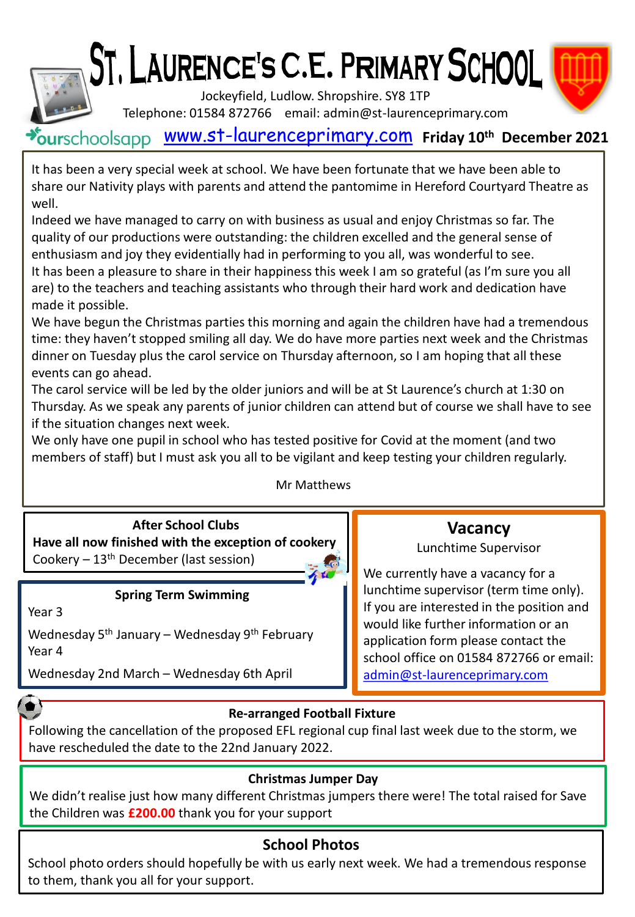



Jockeyfield, Ludlow. Shropshire. SY8 1TP

Telephone: 01584 872766 email: admin@st-laurenceprimary.com

# [www.st-laurenceprimary.com](http://www.st-laurenceprimary.com/) **Friday 10th December 2021**

It has been a very special week at school. We have been fortunate that we have been able to share our Nativity plays with parents and attend the pantomime in Hereford Courtyard Theatre as well.

Indeed we have managed to carry on with business as usual and enjoy Christmas so far. The quality of our productions were outstanding: the children excelled and the general sense of enthusiasm and joy they evidentially had in performing to you all, was wonderful to see. It has been a pleasure to share in their happiness this week I am so grateful (as I'm sure you all are) to the teachers and teaching assistants who through their hard work and dedication have made it possible.

We have begun the Christmas parties this morning and again the children have had a tremendous time: they haven't stopped smiling all day. We do have more parties next week and the Christmas dinner on Tuesday plus the carol service on Thursday afternoon, so I am hoping that all these events can go ahead.

The carol service will be led by the older juniors and will be at St Laurence's church at 1:30 on Thursday. As we speak any parents of junior children can attend but of course we shall have to see if the situation changes next week.

We only have one pupil in school who has tested positive for Covid at the moment (and two members of staff) but I must ask you all to be vigilant and keep testing your children regularly.

Mr Matthews

**After School Clubs Have all now finished with the exception of cookery** Cookery  $-13<sup>th</sup>$  December (last session)

## **Spring Term Swimming**

Year 3

Wednesday 5th January – Wednesday 9th February Year 4

Wednesday 2nd March – Wednesday 6th April

# **Vacancy**

## Lunchtime Supervisor

We currently have a vacancy for a lunchtime supervisor (term time only). If you are interested in the position and would like further information or an application form please contact the school office on 01584 872766 or email: [admin@st-laurenceprimary.com](mailto:admin@st-laurenceprimary.com)

## **Re-arranged Football Fixture**

Following the cancellation of the proposed EFL regional cup final last week due to the storm, we have rescheduled the date to the 22nd January 2022.

## **Christmas Jumper Day**

We didn't realise just how many different Christmas jumpers there were! The total raised for Save the Children was **£200.00** thank you for your support

## **School Photos**

School photo orders should hopefully be with us early next week. We had a tremendous response to them, thank you all for your support.